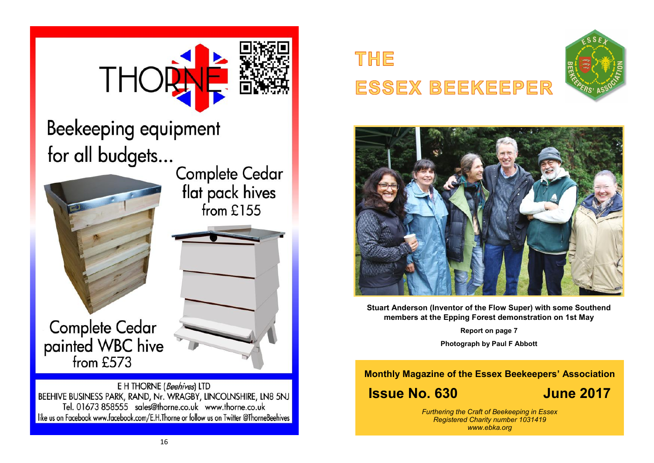

like us on Facebook www.facebook.com/E.H.Thorne or follow us on Twitter @ThorneBeehives





**Stuart Anderson (Inventor of the Flow Super) with some Southend members at the Epping Forest demonstration on 1st May**

**Report on page 7**

**Photograph by Paul F Abbott**

**Monthly Magazine of the Essex Beekeepers' Association**

# **Issue No. 630 June 2017**

*Furthering the Craft of Beekeeping in Essex Registered Charity number 1031419 www.ebka.org*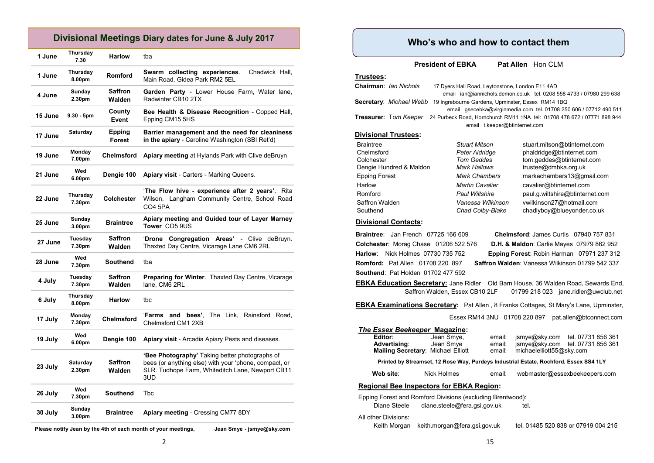#### **Divisional Meetings Diary dates for June & July 2017**

| 1 June  | Thursday<br>7.30   | <b>Harlow</b>            | tba                                                                                                                                                                      |
|---------|--------------------|--------------------------|--------------------------------------------------------------------------------------------------------------------------------------------------------------------------|
| 1 June  | Thursday<br>8.00pm | <b>Romford</b>           | Swarm collecting experiences.<br>Chadwick Hall,<br>Main Road, Gidea Park RM2 5EL                                                                                         |
| 4 June  | Sunday<br>2.30pm   | <b>Saffron</b><br>Walden | Garden Party - Lower House Farm, Water lane,<br>Radwinter CB10 2TX                                                                                                       |
| 15 June | $9.30 - 5pm$       | County<br>Event          | Bee Health & Disease Recognition - Copped Hall,<br>Epping CM15 5HS                                                                                                       |
| 17 June | Saturday           | Epping<br><b>Forest</b>  | Barrier management and the need for cleaniness<br>in the apiary - Caroline Washington (SBI Ret'd)                                                                        |
| 19 June | Monday<br>7.00pm   | <b>Chelmsford</b>        | Apiary meeting at Hylands Park with Clive deBruyn                                                                                                                        |
| 21 June | Wed<br>6.00pm      | Dengie 100               | <b>Apiary visit</b> - Carters - Marking Queens.                                                                                                                          |
| 22 June | Thursday<br>7.30pm | Colchester               | 'The Flow hive - experience after 2 years'. Rita<br>Wilson, Langham Community Centre, School Road<br><b>CO4 5PA</b>                                                      |
| 25 June | Sunday<br>3.00pm   | <b>Braintree</b>         | Apiary meeting and Guided tour of Layer Marney<br>Tower CO5 9US                                                                                                          |
| 27 June | Tuesday<br>7.30pm  | Saffron<br>Walden        | 'Drone Congregation Areas'<br>- Clive deBruvn.<br>Thaxted Day Centre, Vicarage Lane CM6 2RL                                                                              |
| 28 June | Wed<br>7.30pm      | Southend                 | tba                                                                                                                                                                      |
| 4 July  | Tuesday<br>7.30pm  | <b>Saffron</b><br>Walden | <b>Preparing for Winter.</b> Thaxted Day Centre, Vicarage<br>lane, CM6 2RL                                                                                               |
| 6 July  | Thursday<br>8.00pm | <b>Harlow</b>            | tbc                                                                                                                                                                      |
| 17 July | Monday<br>7.30pm   | <b>Chelmsford</b>        | bees'. The Link. Rainsford Road.<br>'Farms<br>and<br>Chelmsford CM1 2XB                                                                                                  |
| 19 July | Wed<br>6.00pm      | Dengie 100               | Apiary visit - Arcadia Apiary Pests and diseases.                                                                                                                        |
| 23 July | Saturday<br>2.30pm | <b>Saffron</b><br>Walden | <b>Bee Photography'</b> Taking better photographs of<br>bees (or anything else) with your 'phone, compact, or<br>SLR. Tudhope Farm, Whiteditch Lane, Newport CB11<br>3UD |
| 26 July | Wed<br>7.30pm      | <b>Southend</b>          | <b>Thc</b>                                                                                                                                                               |
| 30 July | Sunday<br>3.00pm   | <b>Braintree</b>         | Apiary meeting - Cressing CM77 8DY                                                                                                                                       |
|         |                    |                          | Please notify Jean by the 4th of each month of your meetings,<br>Jean Smye - jsmye@sky.com                                                                               |

#### **Who's who and how to contact them**

**President of EBKA** Pat Allen Hon CLM

#### **Trustees:**

| Chairman: <i>Ian Nichols</i> | 17 Dyers Hall Road, Leytonstone, London E11 4AD   |                                                                         |
|------------------------------|---------------------------------------------------|-------------------------------------------------------------------------|
|                              |                                                   | email ian@iannichols.demon.co.uk tel. 0208 558 4733 / 07980 299 638     |
| Secretary: Michael Webb      | 19 Ingrebourne Gardens, Upminster, Essex RM14 1BQ |                                                                         |
|                              |                                                   | email gsecebka@virginmedia.com tel. 01708 250 606 / 07712 490 511       |
| <b>Treasurer: Tom Keeper</b> |                                                   | 24 Purbeck Road, Hornchurch RM11 1NA tel: 01708 478 672 / 07771 898 944 |
|                              | email t.keeper@btinternet.com                     |                                                                         |
| <b>Divisional Trustees:</b>  |                                                   |                                                                         |
| <b>Braintree</b>             | <b>Stuart Mitson</b>                              | stuart.mitson@btinternet.com                                            |
| Chelmsford                   | Peter Aldridge                                    | phaldridge@btinternet.com                                               |
| Colchester                   | Tom Geddes                                        | tom.geddes@btinternet.com                                               |
| Dengie Hundred & Maldon      | Mark Hallows                                      | trustee@dmbka.org.uk                                                    |
| <b>Epping Forest</b>         | Mark Chambers                                     | markachambers13@gmail.com                                               |
|                              |                                                   |                                                                         |

Harlow *Martin Cavalier* cavalier@btinternet.com Romford *Paul Wiltshire* paul.g.wiltshire@btinternet.com Saffron Walden *Vanessa Wilkinson* vwilkinson27@hotmail.com Southend *Chad Colby-Blake* chadlyboy@blueyonder.co.uk

#### **Divisional Contacts:**

**Southend**: Pat Holden 01702 477 592

**Braintree**: Jan French 07725 166 609 **Chelmsford**: James Curtis 07940 757 831 **Colchester**: Morag Chase 01206 522 576 **D.H. & Maldon**: Carlie Mayes 07979 862 952 **Harlow**: Nick Holmes 07730 735 752 **Epping Forest**: Robin Harman 07971 237 312 **Romford:** Pat Allen 01708 220 897 **Saffron Walden**: Vanessa Wilkinson 01799 542 337

**EBKA Education Secretary:** Jane Ridler Old Barn House, 36 Walden Road, Sewards End, Saffron Walden, Essex CB10 2LF 01799 218 023 jane.ridler@uwclub.net

**EBKA Examinations Secretary:** Pat Allen , 8 Franks Cottages, St Mary's Lane, Upminster,

Essex RM14 3NU 01708 220 897 pat.allen@btconnect.com

## *The Essex Beekeeper* **Magazine:**

| Printed by Streamset 12 Rose Way, Purdeys Industrial Estate, Rochford, Essex SS4 11 Y |            |        |                          |                                  |
|---------------------------------------------------------------------------------------|------------|--------|--------------------------|----------------------------------|
| <b>Mailing Secretary: Michael Elliott</b>                                             |            | email: | michaelelliott55@sky.com |                                  |
| <b>Advertising:</b>                                                                   | Jean Smye  | email: |                          | jsmye@sky.com tel. 07731 856 361 |
| Editor:                                                                               | Jean Smye. | email: |                          | jsmye@sky.com tel. 07731 856 361 |

Printed by Streamset, 12 Rose Way, Purdeys Industrial Estate, Rochford,

 **Web site**: Nick Holmes email: webmaster@essexbeekeepers.com

#### **Regional Bee Inspectors for EBKA Region:**

Epping Forest and Romford Divisions (excluding Brentwood):

| Diane Steele         | diane steele@fera.gsi.gov.uk | tel.                                |
|----------------------|------------------------------|-------------------------------------|
| All other Divisions: |                              |                                     |
| Keith Morgan         | keith.morgan@fera.gsi.gov.uk | tel. 01485 520 838 or 07919 004 215 |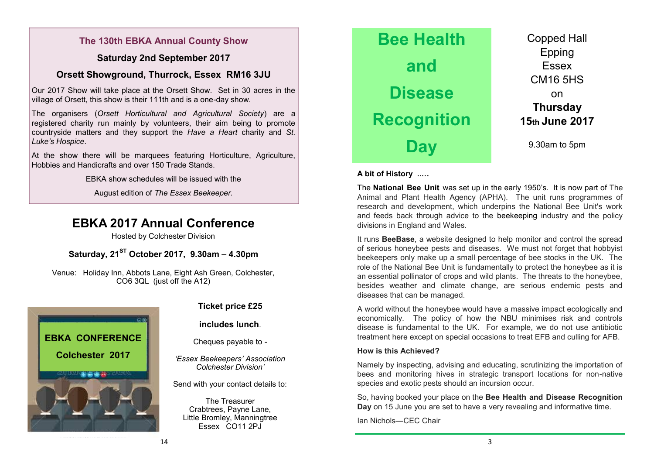### **The 130th EBKA Annual County Show**

#### **Saturday 2nd September 2017**

#### **Orsett Showground, Thurrock, Essex RM16 3JU**

Our 2017 Show will take place at the Orsett Show. Set in 30 acres in the village of Orsett, this show is their 111th and is a one-day show.

The organisers (*Orsett Horticultural and Agricultural Society*) are a registered charity run mainly by volunteers, their aim being to promote countryside matters and they support the *Have a Heart* charity and *St. Luke's Hospice*.

At the show there will be marquees featuring Horticulture, Agriculture, Hobbies and Handicrafts and over 150 Trade Stands.

EBKA show schedules will be issued with the

August edition of *The Essex Beekeeper.* 

## **EBKA 2017 Annual Conference**

Hosted by Colchester Division

**Saturday, 21ST October 2017, 9.30am – 4.30pm**

Venue: Holiday Inn, Abbots Lane, Eight Ash Green, Colchester, CO6 3QL (just off the A12)



#### **Ticket price £25**

#### **includes lunch**.

Cheques payable to -

*'Essex Beekeepers' Association Colchester Division'*

Send with your contact details to:

The Treasurer Crabtrees, Payne Lane, Little Bromley, Manningtree Essex CO11 2PJ



#### **A bit of History ..…**

The **National Bee Unit** was set up in the early 1950's. It is now part of The Animal and Plant Health Agency (APHA). The unit runs programmes of research and development, which underpins the National Bee Unit's work and feeds back through advice to the beekeeping industry and the policy divisions in England and Wales.

It runs **BeeBase**, a website designed to help monitor and control the spread of serious honeybee pests and diseases. We must not forget that hobbyist beekeepers only make up a small percentage of bee stocks in the UK. The role of the National Bee Unit is fundamentally to protect the honeybee as it is an essential pollinator of crops and wild plants. The threats to the honeybee, besides weather and climate change, are serious endemic pests and diseases that can be managed.

A world without the honeybee would have a massive impact ecologically and economically. The policy of how the NBU minimises risk and controls disease is fundamental to the UK. For example, we do not use antibiotic treatment here except on special occasions to treat EFB and culling for AFB.

#### **How is this Achieved?**

Namely by inspecting, advising and educating, scrutinizing the importation of bees and monitoring hives in strategic transport locations for non-native species and exotic pests should an incursion occur.

So, having booked your place on the **Bee Health and Disease Recognition Day** on 15 June you are set to have a very revealing and informative time.

Ian Nichols—CEC Chair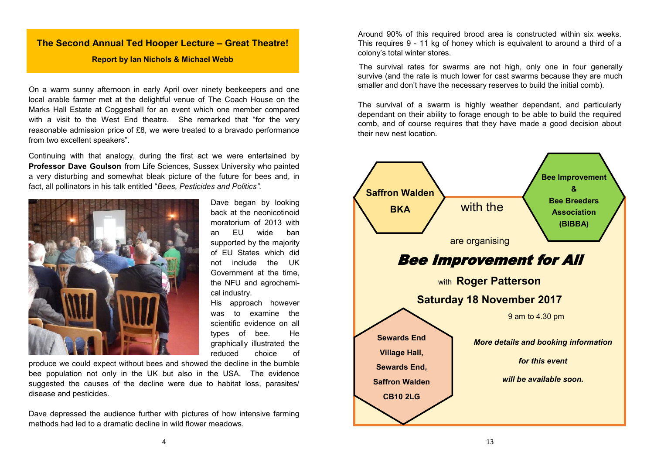#### **The Second Annual Ted Hooper Lecture – Great Theatre!**

#### **Report by Ian Nichols & Michael Webb**

On a warm sunny afternoon in early April over ninety beekeepers and one local arable farmer met at the delightful venue of The Coach House on the Marks Hall Estate at Coggeshall for an event which one member compared with a visit to the West End theatre. She remarked that "for the very reasonable admission price of £8, we were treated to a bravado performance from two excellent speakers".

Continuing with that analogy, during the first act we were entertained by **Professor Dave Goulson** from Life Sciences, Sussex University who painted a very disturbing and somewhat bleak picture of the future for bees and, in fact, all pollinators in his talk entitled "*Bees, Pesticides and Politics".* 



Dave began by looking back at the neonicotinoid moratorium of 2013 with an EU wide ban supported by the majority of EU States which did not include the UK Government at the time, the NFU and agrochemical industry.

His approach however was to examine the scientific evidence on all types of bee. He graphically illustrated the reduced choice of

produce we could expect without bees and showed the decline in the bumble bee population not only in the UK but also in the USA. The evidence suggested the causes of the decline were due to habitat loss, parasites/ disease and pesticides.

Dave depressed the audience further with pictures of how intensive farming methods had led to a dramatic decline in wild flower meadows.

Around 90% of this required brood area is constructed within six weeks. This requires 9 - 11 kg of honey which is equivalent to around a third of a colony's total winter stores.

The survival rates for swarms are not high, only one in four generally survive (and the rate is much lower for cast swarms because they are much smaller and don't have the necessary reserves to build the initial comb).

The survival of a swarm is highly weather dependant, and particularly dependant on their ability to forage enough to be able to build the required comb, and of course requires that they have made a good decision about their new nest location.

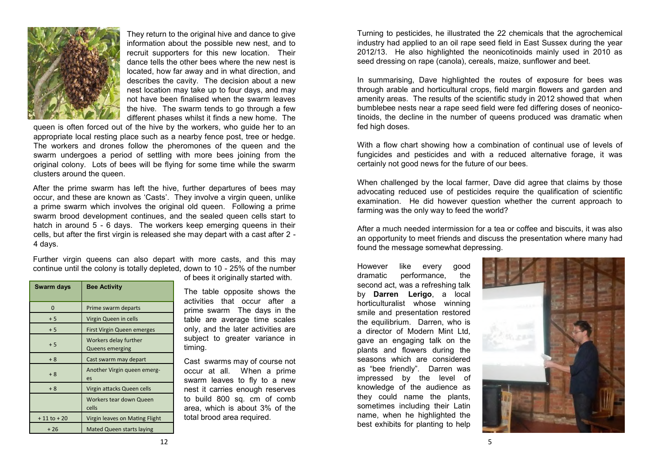

They return to the original hive and dance to give information about the possible new nest, and to recruit supporters for this new location. Their dance tells the other bees where the new nest is located, how far away and in what direction, and describes the cavity. The decision about a new nest location may take up to four days, and may not have been finalised when the swarm leaves the hive. The swarm tends to go through a few different phases whilst it finds a new home. The

queen is often forced out of the hive by the workers, who guide her to an appropriate local resting place such as a nearby fence post, tree or hedge. The workers and drones follow the pheromones of the queen and the swarm undergoes a period of settling with more bees joining from the original colony. Lots of bees will be flying for some time while the swarm clusters around the queen.

After the prime swarm has left the hive, further departures of bees may occur, and these are known as 'Casts'. They involve a virgin queen, unlike a prime swarm which involves the original old queen. Following a prime swarm brood development continues, and the sealed queen cells start to hatch in around 5 - 6 days. The workers keep emerging queens in their cells, but after the first virgin is released she may depart with a cast after 2 - 4 days.

Further virgin queens can also depart with more casts, and this may continue until the colony is totally depleted, down to 10 - 25% of the number

| Swarm days     | <b>Bee Activity</b>                      |
|----------------|------------------------------------------|
| 0              | Prime swarm departs                      |
| $+5$           | Virgin Queen in cells                    |
| $+5$           | First Virgin Queen emerges               |
| $+5$           | Workers delay further<br>Queens emerging |
| + 8            | Cast swarm may depart                    |
| $+8$           | Another Virgin queen emerg-<br>es        |
| $+8$           | Virgin attacks Queen cells               |
|                | Workers tear down Queen<br>cells         |
| $+11$ to $+20$ | Virgin leaves on Mating Flight           |
| $+26$          | <b>Mated Queen starts laying</b>         |

of bees it originally started with.

The table opposite shows the activities that occur after a prime swarm The days in the table are average time scales only, and the later activities are subject to greater variance in timing.

Cast swarms may of course not occur at all. When a prime swarm leaves to fly to a new nest it carries enough reserves to build 800 sq. cm of comb area, which is about 3% of the total brood area required.

Turning to pesticides, he illustrated the 22 chemicals that the agrochemical industry had applied to an oil rape seed field in East Sussex during the year 2012/13. He also highlighted the neonicotinoids mainly used in 2010 as seed dressing on rape (canola), cereals, maize, sunflower and beet.

In summarising, Dave highlighted the routes of exposure for bees was through arable and horticultural crops, field margin flowers and garden and amenity areas. The results of the scientific study in 2012 showed that when bumblebee nests near a rape seed field were fed differing doses of neonicotinoids, the decline in the number of queens produced was dramatic when fed high doses.

With a flow chart showing how a combination of continual use of levels of fungicides and pesticides and with a reduced alternative forage, it was certainly not good news for the future of our bees.

When challenged by the local farmer, Dave did agree that claims by those advocating reduced use of pesticides require the qualification of scientific examination. He did however question whether the current approach to farming was the only way to feed the world?

After a much needed intermission for a tea or coffee and biscuits, it was also an opportunity to meet friends and discuss the presentation where many had found the message somewhat depressing.

However like every good dramatic performance, the second act, was a refreshing talk by **Darren Lerigo**, a local horticulturalist whose winning smile and presentation restored the equilibrium. Darren, who is a director of Modern Mint Ltd, gave an engaging talk on the plants and flowers during the seasons which are considered as "bee friendly". Darren was impressed by the level of knowledge of the audience as they could name the plants, sometimes including their Latin name, when he highlighted the best exhibits for planting to help

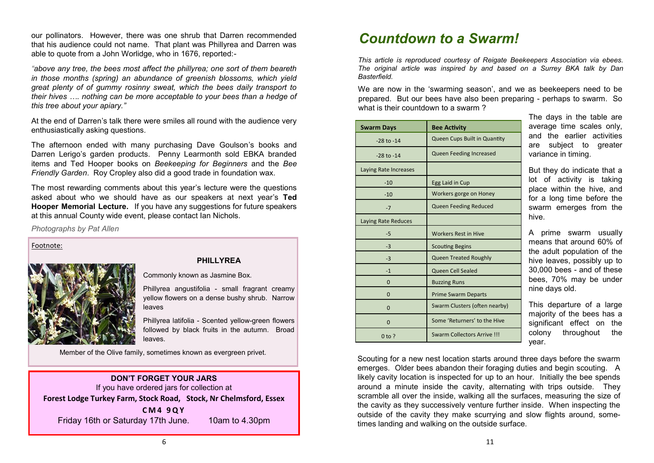our pollinators. However, there was one shrub that Darren recommended that his audience could not name. That plant was Phillyrea and Darren was able to quote from a John Worlidge, who in 1676, reported:-

*"above any tree, the bees most affect the phillyrea; one sort of them beareth in those months (spring) an abundance of greenish blossoms, which yield great plenty of of gummy rosinny sweat, which the bees daily transport to their hives …. nothing can be more acceptable to your bees than a hedge of this tree about your apiary."* 

At the end of Darren's talk there were smiles all round with the audience very enthusiastically asking questions.

The afternoon ended with many purchasing Dave Goulson's books and Darren Lerigo's garden products. Penny Learmonth sold EBKA branded items and Ted Hooper books on *Beekeeping for Beginners* and the *Bee Friendly Garden*. Roy Cropley also did a good trade in foundation wax.

The most rewarding comments about this year's lecture were the questions asked about who we should have as our speakers at next year's **Ted Hooper Memorial Lecture.** If you have any suggestions for future speakers at this annual County wide event, please contact Ian Nichols.

*Photographs by Pat Allen*

Footnote:



#### **PHILLYREA**

Commonly known as Jasmine Box.

Phillyrea angustifolia - small fragrant creamy yellow flowers on a dense bushy shrub. Narrow leaves

Phillyrea latifolia - Scented yellow-green flowers followed by black fruits in the autumn. Broad leaves.

Member of the Olive family, sometimes known as evergreen privet.

#### **DON'T FORGET YOUR JARS** If you have ordered jars for collection at **Forest Lodge Turkey Farm, Stock Road, Stock, Nr Chelmsford, Essex C M 4 9 Q Y**

Friday 16th or Saturday 17th June. 10am to 4.30pm

# *Countdown to a Swarm!*

*This article is reproduced courtesy of Reigate Beekeepers Association via ebees. The original article was inspired by and based on a Surrey BKA talk by Dan Basterfield.* 

We are now in the 'swarming season', and we as beekeepers need to be prepared. But our bees have also been preparing - perhaps to swarm. So what is their countdown to a swarm?

| <b>Swarm Days</b>     | <b>Bee Activity</b>            |
|-----------------------|--------------------------------|
| $-28$ to $-14$        | Queen Cups Built in Quantity   |
| $-28$ to $-14$        | <b>Queen Feeding Increased</b> |
| Laying Rate Increases |                                |
| $-10$                 | Egg Laid in Cup                |
| $-10$                 | Workers gorge on Honey         |
| $-7$                  | Queen Feeding Reduced          |
| Laying Rate Reduces   |                                |
| $-5$                  | <b>Workers Rest in Hive</b>    |
| $-3$                  | <b>Scouting Begins</b>         |
| $-3$                  | <b>Queen Treated Roughly</b>   |
| $-1$                  | Queen Cell Sealed              |
| $\Omega$              | <b>Buzzing Runs</b>            |
| $\Omega$              | <b>Prime Swarm Departs</b>     |
| $\mathbf 0$           | Swarm Clusters (often nearby)  |
| $\Omega$              | Some 'Returners' to the Hive   |
| $0$ to ?              | Swarm Collectors Arrive !!!    |

The days in the table are average time scales only, and the earlier activities are subject to greater variance in timing.

But they do indicate that a lot of activity is taking place within the hive, and for a long time before the swarm emerges from the hive.

A prime swarm usually means that around 60% of the adult population of the hive leaves, possibly up to 30,000 bees - and of these bees, 70% may be under nine days old.

This departure of a large majority of the bees has a significant effect on the colony throughout the year.

Scouting for a new nest location starts around three days before the swarm emerges. Older bees abandon their foraging duties and begin scouting. A likely cavity location is inspected for up to an hour. Initially the bee spends around a minute inside the cavity, alternating with trips outside. They scramble all over the inside, walking all the surfaces, measuring the size of the cavity as they successively venture further inside. When inspecting the outside of the cavity they make scurrying and slow flights around, sometimes landing and walking on the outside surface.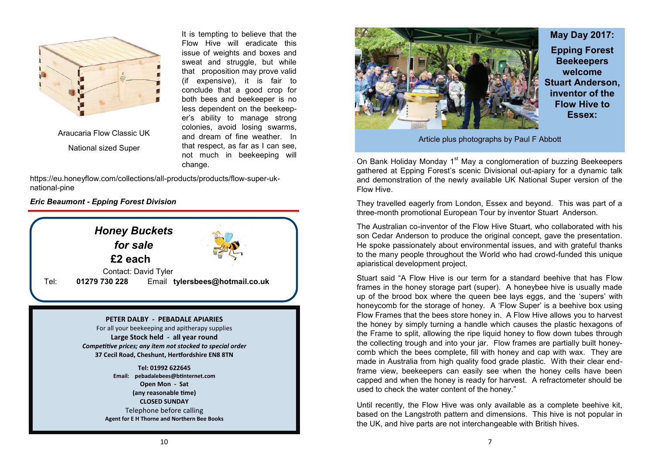

Araucaria Flow Classic UK National sized Super

It is tempting to believe that the Flow Hive will eradicate this issue of weights and boxes and sweat and struggle, but while that proposition may prove valid (if expensive), it is fair to conclude that a good crop for both bees and beekeeper is no less dependent on the beekeeper's ability to manage strong colonies, avoid losing swarms, and dream of fine weather. In that respect, as far as I can see, not much in beekeeping will change.

[https://eu.honeyflow.com/collections/all](https://eu.honeyflow.com/collections/all-products/products/flow-super-uk-national-pine)-products/products/flow-super-uk[national](https://eu.honeyflow.com/collections/all-products/products/flow-super-uk-national-pine)-pine

*Eric Beaumont - Epping Forest Division*





## **May Day 2017:**

**Epping Forest Beekeepers welcome Stuart Anderson, inventor of the Flow Hive to Essex:**

Article plus photographs by Paul F Abbott

On Bank Holiday Monday 1<sup>st</sup> May a conglomeration of buzzing Beekeepers gathered at Epping Forest's scenic Divisional out-apiary for a dynamic talk and demonstration of the newly available UK National Super version of the Flow Hive.

They travelled eagerly from London, Essex and beyond. This was part of a three-month promotional European Tour by inventor Stuart Anderson.

The Australian co-inventor of the Flow Hive Stuart, who collaborated with his son Cedar Anderson to produce the original concept, gave the presentation. He spoke passionately about environmental issues, and with grateful thanks to the many people throughout the World who had crowd-funded this unique apiaristical development project.

Stuart said "A Flow Hive is our term for a standard beehive that has Flow frames in the honey storage part (super). A honeybee hive is usually made up of the brood box where the queen bee lays eggs, and the 'supers' with honeycomb for the storage of honey. A 'Flow Super' is a beehive box using Flow Frames that the bees store honey in. A Flow Hive allows you to harvest the honey by simply turning a handle which causes the plastic hexagons of the Frame to split, allowing the ripe liquid honey to flow down tubes through the collecting trough and into your jar. Flow frames are partially built honeycomb which the bees complete, fill with honey and cap with wax. They are made in Australia from high quality food grade plastic. With their clear endframe view, beekeepers can easily see when the honey cells have been capped and when the honey is ready for harvest. A refractometer should be used to check the water content of the honey."

Until recently, the Flow Hive was only available as a complete beehive kit, based on the Langstroth pattern and dimensions. This hive is not popular in the UK, and hive parts are not interchangeable with British hives.